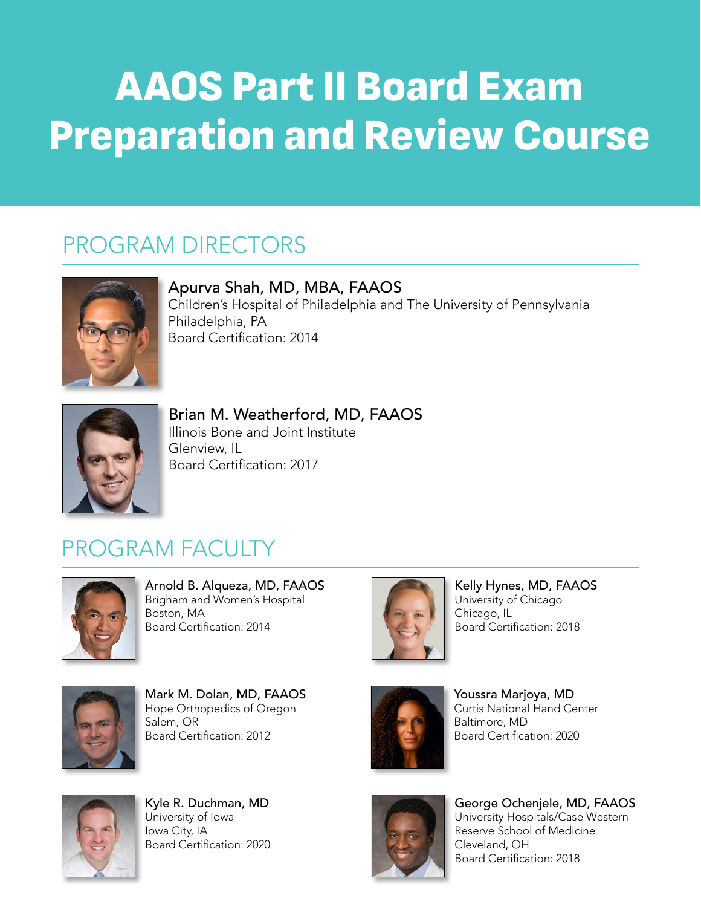## AAOS Part II Board Exam Preparation and Review Course

## PROGRAM DIRECTORS



Apurva Shah, MD, MBA, FAAOS Children's Hospital of Philadelphia and The University of Pennsylvania Philadelphia, PA Board Certification: 2014



Brian M. Weatherford, MD, FAAOS Illinois Bone and Joint Institute Glenview, IL Board Certification: 2017

## PROGRAM FACULTY



Arnold B. Alqueza, MD, FAAOS Brigham and Women's Hospital Boston, MA Board Certification: 2014



Kelly Hynes, MD, FAAOS University of Chicago Chicago, IL Board Certification: 2018



Mark M. Dolan, MD, FAAOS Hope Orthopedics of Oregon Salem, OR Salem, OR<br>Board Certification: 2012



Youssra Marjoya, MD Curtis National Hand Center Baltimore, MD Board Certification: 2020



Kyle R. Duchman, MD University of Iowa Iowa City, IA Board Certification: 2020



George Ochenjele, MD, FAAOS University Hospitals/Case Western Reserve School of Medicine Cleveland, OH Board Certification: 2018